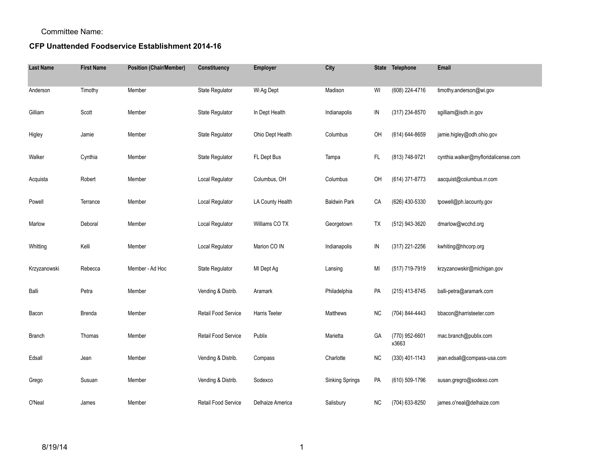## Committee Name:

## **CFP Unattended Foodservice Establishment 2014-16**

| <b>Last Name</b> | <b>First Name</b> | <b>Position (Chair/Member)</b> | Constituency        | <b>Employer</b>  | City                   |           | State Telephone         | Email                               |
|------------------|-------------------|--------------------------------|---------------------|------------------|------------------------|-----------|-------------------------|-------------------------------------|
| Anderson         | Timothy           | Member                         | State Regulator     | Wi Ag Dept       | Madison                | WI        | (608) 224-4716          | timothy.anderson@wi.gov             |
| Gilliam          | Scott             | Member                         | State Regulator     | In Dept Health   | Indianapolis           | IN        | (317) 234-8570          | sgilliam@isdh.in.gov                |
| Higley           | Jamie             | Member                         | State Regulator     | Ohio Dept Health | Columbus               | OH        | (614) 644-8659          | jamie.higley@odh.ohio.gov           |
| Walker           | Cynthia           | Member                         | State Regulator     | FL Dept Bus      | Tampa                  | FL        | (813) 748-9721          | cynthia.walker@myfloridalicense.com |
| Acquista         | Robert            | Member                         | Local Regulator     | Columbus, OH     | Columbus               | OH        | (614) 371-8773          | aacquist@columbus.rr.com            |
| Powell           | Terrance          | Member                         | Local Regulator     | LA County Health | <b>Baldwin Park</b>    | CA        | (626) 430-5330          | tpowell@ph.lacounty.gov             |
| Marlow           | Deboral           | Member                         | Local Regulator     | Williams CO TX   | Georgetown             | TX        | (512) 943-3620          | dmarlow@wcchd.org                   |
| Whitting         | Kelli             | Member                         | Local Regulator     | Marion CO IN     | Indianapolis           | IN        | (317) 221-2256          | kwhiting@hhcorp.org                 |
| Krzyzanowski     | Rebecca           | Member - Ad Hoc                | State Regulator     | MI Dept Ag       | Lansing                | MI        | (517) 719-7919          | krzyzanowskir@michigan.gov          |
| Balli            | Petra             | Member                         | Vending & Distrib.  | Aramark          | Philadelphia           | <b>PA</b> | (215) 413-8745          | balli-petra@aramark.com             |
| Bacon            | <b>Brenda</b>     | Member                         | Retail Food Service | Harris Teeter    | Matthews               | <b>NC</b> | (704) 844-4443          | bbacon@harristeeter.com             |
| <b>Branch</b>    | Thomas            | Member                         | Retail Food Service | Publix           | Marietta               | GA        | (770) 952-6601<br>x3663 | mac.branch@publix.com               |
| Edsall           | Jean              | Member                         | Vending & Distrib.  | Compass          | Charlotte              | <b>NC</b> | (330) 401-1143          | jean.edsall@compass-usa.com         |
| Grego            | Susuan            | Member                         | Vending & Distrib.  | Sodexco          | <b>Sinking Springs</b> | PA        | (610) 509-1796          | susan.gregro@sodexo.com             |
| O'Neal           | James             | Member                         | Retail Food Service | Delhaize America | Salisbury              | <b>NC</b> | (704) 633-8250          | james.o'neal@delhaize.com           |